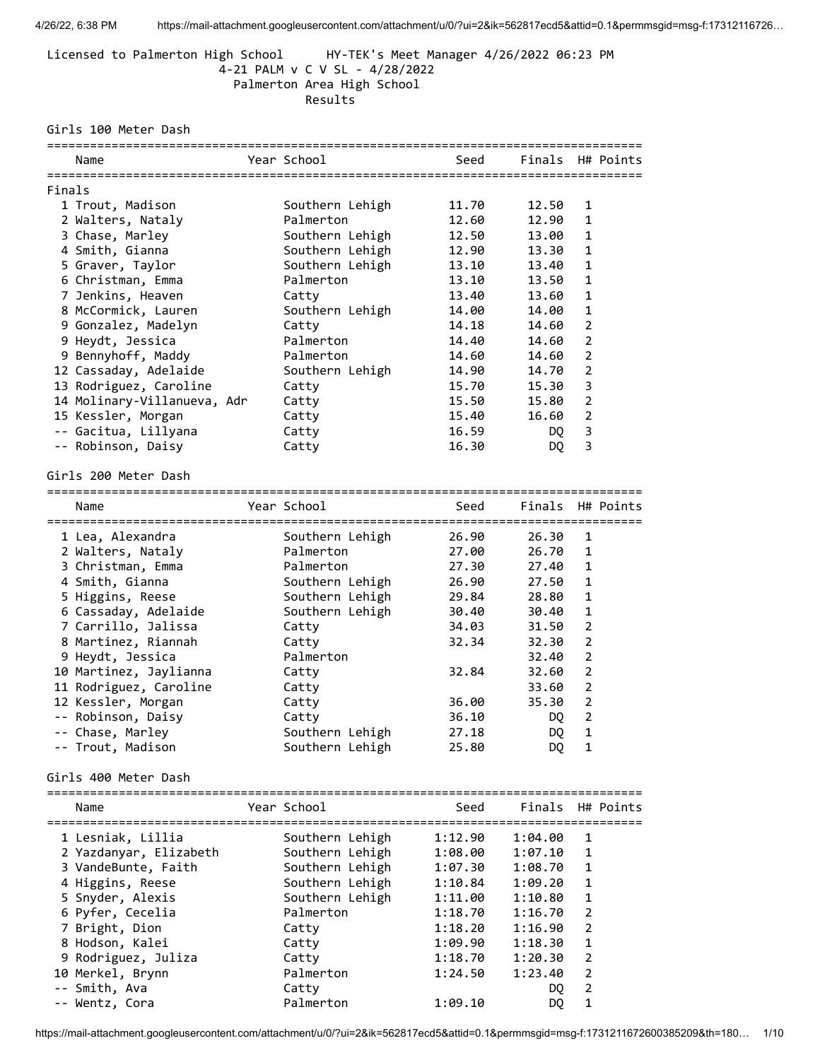Licensed to Palmerton High School HY-TEK's Meet Manager 4/26/2022 06:23 PM 4-21 PALM v C V SL - 4/28/2022 Palmerton Area High School

Results

Girls 100 Meter Dash

|        | Name                                 | Year School                  | Seed               | Finals H# Points   |                |           |
|--------|--------------------------------------|------------------------------|--------------------|--------------------|----------------|-----------|
| Finals |                                      |                              |                    |                    |                |           |
|        | 1 Trout, Madison                     | Southern Lehigh              | 11.70              | 12.50              | 1              |           |
|        | 2 Walters, Nataly                    | Palmerton                    | 12.60              | 12.90              | 1              |           |
|        | 3 Chase, Marley                      | Southern Lehigh              | 12.50              | 13.00              | 1              |           |
|        | 4 Smith, Gianna                      | Southern Lehigh              | 12.90              | 13.30              | 1              |           |
|        | 5 Graver, Taylor                     | Southern Lehigh              | 13.10              | 13.40              | 1              |           |
|        | 6 Christman, Emma                    | Palmerton                    | 13.10              | 13.50              | 1              |           |
|        | 7 Jenkins, Heaven                    | Catty                        | 13.40              | 13.60              | 1              |           |
|        | 8 McCormick, Lauren                  | Southern Lehigh              | 14.00              | 14.00              | $\mathbf 1$    |           |
|        | 9 Gonzalez, Madelyn                  | Catty                        | 14.18              | 14.60              | $\overline{2}$ |           |
|        | 9 Heydt, Jessica                     | Palmerton                    | 14.40              | 14.60              | $\overline{2}$ |           |
|        | 9 Bennyhoff, Maddy                   | Palmerton                    | 14.60              | 14.60              | $\overline{2}$ |           |
|        | 12 Cassaday, Adelaide                | Southern Lehigh              | 14.90              | 14.70              | $\overline{2}$ |           |
|        | 13 Rodriguez, Caroline               | Catty                        | 15.70              | 15.30              | 3              |           |
|        | 14 Molinary-Villanueva, Adr          | Catty                        | 15.50              | 15.80              | $\overline{2}$ |           |
|        | 15 Kessler, Morgan                   | Catty                        | 15.40              | 16.60              | $\overline{2}$ |           |
|        | -- Gacitua, Lillyana                 | Catty                        | 16.59              | DQ.                | 3              |           |
|        | -- Robinson, Daisy                   | Catty                        | 16.30              | DQ                 | 3              |           |
|        |                                      |                              |                    |                    |                |           |
|        | Girls 200 Meter Dash                 |                              |                    |                    |                |           |
|        | Name                                 | Year School                  | Seed               | Finals             |                | H# Points |
|        |                                      |                              |                    |                    |                |           |
|        | 1 Lea, Alexandra                     | Southern Lehigh              | 26.90              | 26.30              | 1              |           |
|        | 2 Walters, Nataly                    | Palmerton                    | 27.00              | 26.70              | $\mathbf{1}$   |           |
|        | 3 Christman, Emma                    | Palmerton                    | 27.30              | 27.40              | $\mathbf{1}$   |           |
|        | 4 Smith, Gianna                      | Southern Lehigh              | 26.90              | 27.50              | 1              |           |
|        | 5 Higgins, Reese                     | Southern Lehigh              | 29.84              | 28.80              | 1              |           |
|        | 6 Cassaday, Adelaide                 | Southern Lehigh              | 30.40              | 30.40              | 1              |           |
|        | 7 Carrillo, Jalissa                  | Catty                        | 34.03              | 31.50              | 2              |           |
|        | 8 Martinez, Riannah                  | Catty                        | 32.34              | 32.30              | $\overline{2}$ |           |
|        | 9 Heydt, Jessica                     | Palmerton                    |                    | 32.40              | $\overline{2}$ |           |
|        | 10 Martinez, Jaylianna               | Catty                        | 32.84              | 32.60              | $\overline{2}$ |           |
|        | 11 Rodriguez, Caroline               | Catty                        |                    | 33.60              | $\overline{2}$ |           |
|        | 12 Kessler, Morgan                   | Catty                        | 36.00              | 35.30              | $\overline{2}$ |           |
|        | -- Robinson, Daisy                   | Catty                        | 36.10              | DQ                 | $\overline{a}$ |           |
|        | -- Chase, Marley                     | Southern Lehigh              | 27.18              | DQ                 | 1              |           |
|        | -- Trout, Madison                    | Southern Lehigh              | 25.80              | DQ                 | 1              |           |
|        | Girls 400 Meter Dash                 |                              |                    |                    |                |           |
|        |                                      |                              |                    |                    |                |           |
|        | Name                                 | Year School                  | Seed               | Finals H# Points   |                |           |
|        |                                      |                              | 1:12.90            |                    |                |           |
|        | 1 Lesniak, Lillia                    | Southern Lehigh              |                    | 1:04.00            | 1              |           |
|        | 2 Yazdanyar, Elizabeth               | Southern Lehigh              | 1:08.00            | 1:07.10            | 1              |           |
|        | 3 VandeBunte, Faith                  | Southern Lehigh              | 1:07.30            | 1:08.70            | 1<br>1         |           |
|        | 4 Higgins, Reese                     | Southern Lehigh              | 1:10.84            | 1:09.20            | 1              |           |
|        | 5 Snyder, Alexis<br>6 Pyfer, Cecelia | Southern Lehigh<br>Palmerton | 1:11.00<br>1:18.70 | 1:10.80<br>1:16.70 | 2              |           |
|        |                                      |                              |                    |                    |                |           |

 7 Bright, Dion Catty 1:18.20 1:16.90 2 8 Hodson, Kalei Catty 1:09.90 1:18.30 1 9 Rodriguez, Juliza Catty 1:18.70 1:20.30 2 10 Merkel, Brynn Palmerton 1:24.50 1:23.40 2 -- Smith, Ava Catty DQ 2 -- Wentz, Cora Palmerton 1:09.10 DQ 1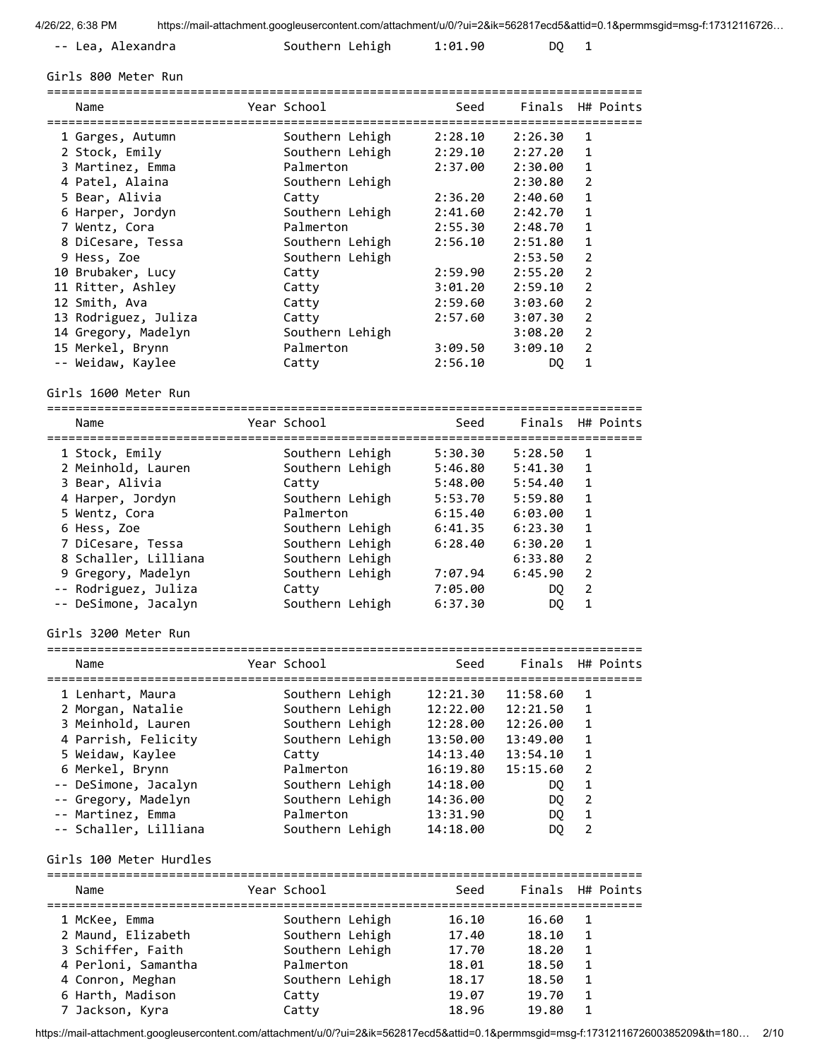| -- Lea, Alexandra | Southern Lehigh | 1:01.90 |  |
|-------------------|-----------------|---------|--|
|                   |                 |         |  |

Girls 800 Meter Run

| Name                    | Year School     | Seed     | Finals H# Points |                |           |
|-------------------------|-----------------|----------|------------------|----------------|-----------|
|                         |                 | 2:28.10  | 2:26.30          | 1              |           |
| 1 Garges, Autumn        | Southern Lehigh |          |                  |                |           |
| 2 Stock, Emily          | Southern Lehigh | 2:29.10  | 2:27.20          | 1              |           |
| 3 Martinez, Emma        | Palmerton       | 2:37.00  | 2:30.00          | 1              |           |
| 4 Patel, Alaina         | Southern Lehigh |          | 2:30.80          | 2              |           |
| 5 Bear, Alivia          | Catty           | 2:36.20  | 2:40.60          | 1              |           |
| 6 Harper, Jordyn        | Southern Lehigh | 2:41.60  | 2:42.70          | $\mathbf{1}$   |           |
| 7 Wentz, Cora           | Palmerton       | 2:55.30  | 2:48.70          | $\mathbf{1}$   |           |
| 8 DiCesare, Tessa       | Southern Lehigh | 2:56.10  | 2:51.80          | 1              |           |
| 9 Hess, Zoe             | Southern Lehigh |          | 2:53.50          | $\overline{2}$ |           |
| 10 Brubaker, Lucy       | Catty           | 2:59.90  | 2:55.20          | $\overline{2}$ |           |
| 11 Ritter, Ashley       | Catty           | 3:01.20  | 2:59.10          | $\overline{2}$ |           |
| 12 Smith, Ava           | Catty           | 2:59.60  | 3:03.60          | $\overline{2}$ |           |
| 13 Rodriguez, Juliza    | Catty           | 2:57.60  | 3:07.30          | $\overline{2}$ |           |
| 14 Gregory, Madelyn     | Southern Lehigh |          | 3:08.20          | $\overline{2}$ |           |
| 15 Merkel, Brynn        | Palmerton       | 3:09.50  | 3:09.10          | $\overline{2}$ |           |
| -- Weidaw, Kaylee       | Catty           | 2:56.10  | DQ.              | $\mathbf{1}$   |           |
| Girls 1600 Meter Run    |                 |          |                  |                |           |
| Name                    | Year School     | Seed     | Finals           |                | H# Points |
| ------------------      |                 |          |                  |                |           |
| 1 Stock, Emily          | Southern Lehigh | 5:30.30  | 5:28.50          | 1              |           |
| 2 Meinhold, Lauren      | Southern Lehigh | 5:46.80  | 5:41.30          | $\mathbf{1}$   |           |
| 3 Bear, Alivia          | Catty           | 5:48.00  | 5:54.40          | $\mathbf{1}$   |           |
| 4 Harper, Jordyn        | Southern Lehigh | 5:53.70  | 5:59.80          | $\mathbf{1}$   |           |
| 5 Wentz, Cora           | Palmerton       | 6:15.40  | 6:03.00          | 1              |           |
| 6 Hess, Zoe             | Southern Lehigh | 6:41.35  | 6:23.30          | 1              |           |
| 7 DiCesare, Tessa       | Southern Lehigh | 6:28.40  | 6:30.20          | 1              |           |
| 8 Schaller, Lilliana    | Southern Lehigh |          | 6:33.80          | $\overline{a}$ |           |
| 9 Gregory, Madelyn      | Southern Lehigh | 7:07.94  | 6:45.90          | $\overline{2}$ |           |
| -- Rodriguez, Juliza    | Catty           | 7:05.00  | DQ.              | $\overline{2}$ |           |
| -- DeSimone, Jacalyn    | Southern Lehigh | 6:37.30  | DQ               | 1              |           |
| Girls 3200 Meter Run    |                 |          |                  |                |           |
| Name                    | Year School     | Seed     | Finals           |                | H# Points |
| 1 Lenhart, Maura        | Southern Lehigh | 12:21.30 | 11:58.60         | 1              |           |
| 2 Morgan, Natalie       | Southern Lehigh | 12:22.00 | 12:21.50         | $\mathbf{1}$   |           |
| 3 Meinhold, Lauren      | Southern Lehigh | 12:28.00 | 12:26.00         | $\mathbf{1}$   |           |
| 4 Parrish, Felicity     | Southern Lehigh | 13:50.00 | 13:49.00         | 1              |           |
| 5 Weidaw, Kaylee        | Catty           | 14:13.40 | 13:54.10         | 1              |           |
| 6 Merkel, Brynn         | Palmerton       | 16:19.80 | 15:15.60         | $\overline{2}$ |           |
|                         | Southern Lehigh | 14:18.00 | DQ.              | $\mathbf{1}$   |           |
| -- DeSimone, Jacalyn    |                 |          |                  | $\overline{2}$ |           |
| -- Gregory, Madelyn     | Southern Lehigh | 14:36.00 | DQ               |                |           |
| -- Martinez, Emma       | Palmerton       | 13:31.90 | <b>DQ</b>        | $\mathbf 1$    |           |
| -- Schaller, Lilliana   | Southern Lehigh | 14:18.00 | DQ               | $\overline{2}$ |           |
| Girls 100 Meter Hurdles |                 |          |                  |                |           |
| Name                    | Year School     | Seed     | Finals           |                | H# Points |
| 1 McKee, Emma           | Southern Lehigh | 16.10    | 16.60            | 1              |           |
| 2 Maund, Elizabeth      | Southern Lehigh | 17.40    | 18.10            | $\mathbf{1}$   |           |
| 3 Schiffer, Faith       | Southern Lehigh | 17.70    | 18.20            | $\mathbf{1}$   |           |
| 4 Perloni, Samantha     | Palmerton       |          |                  | $\mathbf{1}$   |           |
|                         |                 | 18.01    | 18.50            |                |           |
| 4 Conron, Meghan        | Southern Lehigh | 18.17    | 18.50            | $\mathbf{1}$   |           |
| 6 Harth, Madison        | Catty           | 19.07    | 19.70            | 1              |           |

https://mail-attachment.googleusercontent.com/attachment/u/0/?ui=2&ik=562817ecd5&attid=0.1&permmsgid=msg-f:1731211672600385209&th=180… 2/10

7 Jackson, Kyra Catty 18.96 19.80 1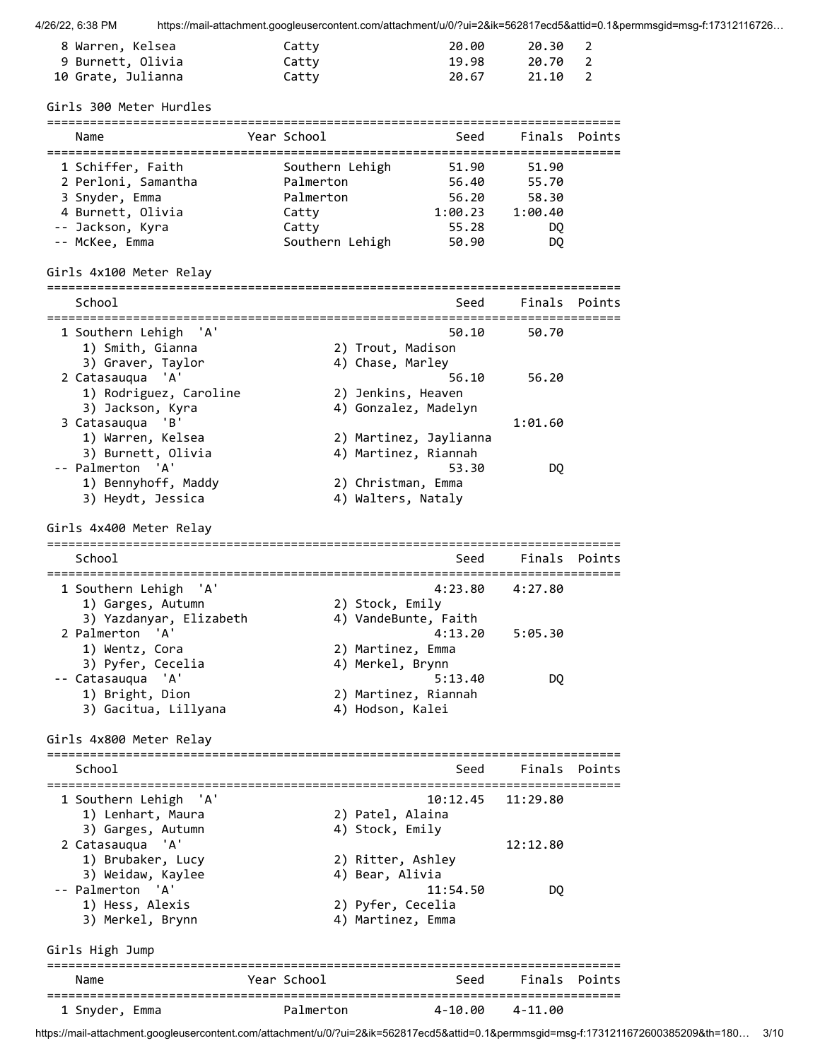| 8 Warren, Kelsea   | Catty | 20.00 | 20.30 2 |  |
|--------------------|-------|-------|---------|--|
| 9 Burnett, Olivia  | Catty | 19.98 | 20.70 2 |  |
| 10 Grate, Julianna | Catty | 20.67 | 21.10 2 |  |

Girls 300 Meter Hurdles

| Name                | Year School     | Seed    | Finals Points |  |
|---------------------|-----------------|---------|---------------|--|
| 1 Schiffer, Faith   | Southern Lehigh | 51.90   | 51.90         |  |
| 2 Perloni, Samantha | Palmerton       | 56.40   | 55.70         |  |
| 3 Snyder, Emma      | Palmerton       | 56.20   | 58.30         |  |
| 4 Burnett, Olivia   | Catty           | 1:00.23 | 1:00.40       |  |
| -- Jackson, Kyra    | Catty           | 55.28   | DO            |  |
| -- McKee, Emma      | Southern Lehigh | 50.90   | DQ            |  |

Girls 4x100 Meter Relay

| School                   |             | Seed                   |          | Finals Points |
|--------------------------|-------------|------------------------|----------|---------------|
| 1 Southern Lehigh<br>'A' |             | 50.10                  | 50.70    |               |
| 1) Smith, Gianna         |             | 2) Trout, Madison      |          |               |
| 3) Graver, Taylor        |             | 4) Chase, Marley       |          |               |
| 'A'<br>2 Catasauqua      |             | 56.10                  | 56.20    |               |
| 1) Rodriguez, Caroline   |             | 2) Jenkins, Heaven     |          |               |
| 3) Jackson, Kyra         |             | 4) Gonzalez, Madelyn   |          |               |
| 'B'<br>3 Catasauqua      |             |                        | 1:01.60  |               |
| 1) Warren, Kelsea        |             | 2) Martinez, Jaylianna |          |               |
| 3) Burnett, Olivia       |             | 4) Martinez, Riannah   |          |               |
| -- Palmerton 'A'         |             | 53.30                  | DQ.      |               |
| 1) Bennyhoff, Maddy      |             | 2) Christman, Emma     |          |               |
| 3) Heydt, Jessica        |             | 4) Walters, Nataly     |          |               |
| Girls 4x400 Meter Relay  |             |                        |          |               |
|                          |             |                        |          |               |
| School                   |             | Seed                   |          | Finals Points |
| 1 Southern Lehigh 'A'    |             | 4:23.80                | 4:27.80  |               |
| 1) Garges, Autumn        |             | 2) Stock, Emily        |          |               |
| 3) Yazdanyar, Elizabeth  |             | 4) VandeBunte, Faith   |          |               |
| 2 Palmerton<br>'A'       |             | 4:13.20                | 5:05.30  |               |
| 1) Wentz, Cora           |             | 2) Martinez, Emma      |          |               |
| 3) Pyfer, Cecelia        |             | 4) Merkel, Brynn       |          |               |
| -- Catasauqua 'A'        |             | 5:13.40                | DQ.      |               |
| 1) Bright, Dion          |             | 2) Martinez, Riannah   |          |               |
| 3) Gacitua, Lillyana     |             | 4) Hodson, Kalei       |          |               |
|                          |             |                        |          |               |
| Girls 4x800 Meter Relay  |             |                        |          |               |
| School                   |             | Seed                   | Finals   | Points        |
|                          |             |                        |          |               |
| 1 Southern Lehigh 'A'    |             | 10:12.45               | 11:29.80 |               |
| 1) Lenhart, Maura        |             | 2) Patel, Alaina       |          |               |
| 3) Garges, Autumn        |             | 4) Stock, Emily        |          |               |
| 2 Catasauqua 'A'         |             |                        | 12:12.80 |               |
| 1) Brubaker, Lucy        |             | 2) Ritter, Ashley      |          |               |
| 3) Weidaw, Kaylee        |             | 4) Bear, Alivia        |          |               |
| -- Palmerton 'A'         |             | 11:54.50               |          |               |
| 1) Hess, Alexis          |             | 2) Pyfer, Cecelia      | DQ       |               |
| 3) Merkel, Brynn         |             | 4) Martinez, Emma      |          |               |
| Girls High Jump          |             |                        |          |               |
| Name                     | Year School | Seed                   | Finals   | Points        |
| 1 Snyder, Emma           | Palmerton   | 4-10.00                | 4-11.00  |               |

https://mail-attachment.googleusercontent.com/attachment/u/0/?ui=2&ik=562817ecd5&attid=0.1&permmsgid=msg-f:1731211672600385209&th=180… 3/10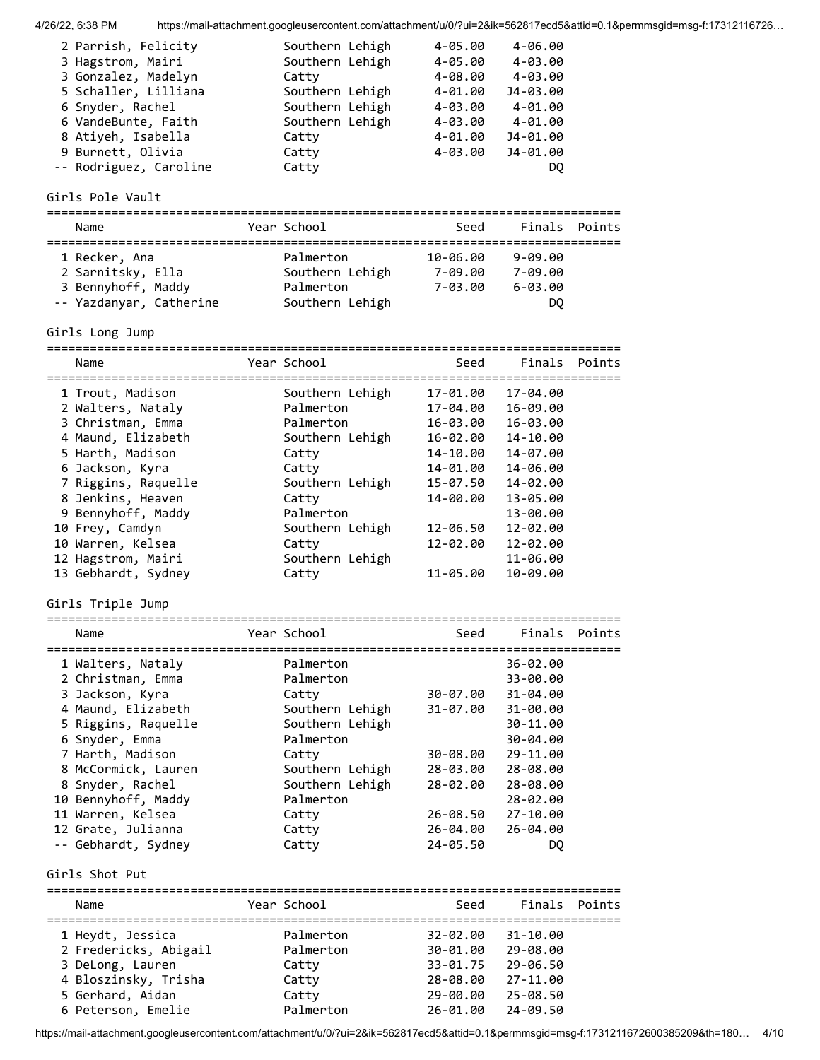| 4/26/22. 6:38 PM | https://mail-attachment.googleusercontent.com/attachment/u/0/?ui=2&ik=562817ecd5&attid=0.1&permmsgid=msg-f:17312116726 |
|------------------|------------------------------------------------------------------------------------------------------------------------|
|                  |                                                                                                                        |

| 2 Parrish, Felicity    | Southern Lehigh | 4-05.00     | $4 - 06.00$ |
|------------------------|-----------------|-------------|-------------|
| 3 Hagstrom, Mairi      | Southern Lehigh | $4 - 05.00$ | 4-03.00     |
| 3 Gonzalez, Madelyn    | Catty           | $4 - 08.00$ | 4-03.00     |
| 5 Schaller, Lilliana   | Southern Lehigh | $4 - 01.00$ | J4-03.00    |
| 6 Snyder, Rachel       | Southern Lehigh | $4 - 03.00$ | 4-01.00     |
| 6 VandeBunte, Faith    | Southern Lehigh | $4 - 03.00$ | 4-01.00     |
| 8 Atiyeh, Isabella     | Catty           | $4 - 01.00$ | J4-01.00    |
| 9 Burnett, Olivia      | Catty           | $4 - 03.00$ | J4-01.00    |
| -- Rodriguez, Caroline | Catty           |             | DO          |

Girls Pole Vault

| Name                    | Year School     | Seed     |             | Finals Points |
|-------------------------|-----------------|----------|-------------|---------------|
| 1 Recker, Ana           | Palmerton       | 10-06.00 | $9 - 09.00$ |               |
| 2 Sarnitsky, Ella       | Southern Lehigh | 7-09.00  | 7-09.00     |               |
| 3 Bennyhoff, Maddy      | Palmerton       | 7-03.00  | $6 - 03.00$ |               |
| -- Yazdanyar, Catherine | Southern Lehigh |          | DQ          |               |

Girls Long Jump

| Name                                                                                                                                                                                                                                                                                                | Year School                                                                                                                                                                                                   | Seed                                                                                                                             |                                                                                                                                                          | Finals Points |
|-----------------------------------------------------------------------------------------------------------------------------------------------------------------------------------------------------------------------------------------------------------------------------------------------------|---------------------------------------------------------------------------------------------------------------------------------------------------------------------------------------------------------------|----------------------------------------------------------------------------------------------------------------------------------|----------------------------------------------------------------------------------------------------------------------------------------------------------|---------------|
| 1 Trout, Madison<br>2 Walters, Nataly<br>3 Christman, Emma<br>4 Maund, Elizabeth<br>5 Harth, Madison<br>6 Jackson, Kyra<br>7 Riggins, Raquelle<br>8 Jenkins, Heaven<br>9 Bennyhoff, Maddy<br>10 Frey, Camdyn<br>10 Warren, Kelsea<br>12 Hagstrom, Mairi<br>13 Gebhardt, Sydney<br>Girls Triple Jump | Southern Lehigh<br>Palmerton<br>Palmerton<br>Southern Lehigh<br>Catty<br>Catty<br>Southern Lehigh<br>Catty<br>Palmerton<br>Southern Lehigh<br>Catty<br>Southern Lehigh<br>Catty                               | 17-01.00<br>17-04.00<br>16-03.00<br>16-02.00<br>14-10.00<br>14-01.00<br>15-07.50<br>14-00.00<br>12-06.50<br>12-02.00<br>11-05.00 | 17-04.00<br>16-09.00<br>16-03.00<br>14-10.00<br>14-07.00<br>14-06.00<br>14-02.00<br>13-05.00<br>13-00.00<br>12-02.00<br>12-02.00<br>11-06.00<br>10-09.00 |               |
| Name                                                                                                                                                                                                                                                                                                | Year School                                                                                                                                                                                                   | =======================<br>Seed                                                                                                  | Finals                                                                                                                                                   | Points        |
| 1 Walters, Nataly<br>2 Christman, Emma<br>3 Jackson, Kyra<br>4 Maund, Elizabeth<br>5 Riggins, Raquelle<br>6 Snyder, Emma<br>7 Harth, Madison<br>8 McCormick, Lauren<br>8 Snyder, Rachel<br>10 Bennyhoff, Maddy<br>11 Warren, Kelsea<br>12 Grate, Julianna<br>-- Gebhardt, Sydney<br>Girls Shot Put  | ================================<br>Palmerton<br>Palmerton<br>Catty<br>Southern Lehigh<br>Southern Lehigh<br>Palmerton<br>Catty<br>Southern Lehigh<br>Southern Lehigh<br>Palmerton<br>Catty<br>Catty<br>Catty | 30-07.00<br>31-07.00<br>30-08.00<br>28-03.00<br>28-02.00<br>26-08.50<br>26-04.00<br>24-05.50                                     | 36-02.00<br>33-00.00<br>31-04.00<br>31-00.00<br>30-11.00<br>30-04.00<br>29-11.00<br>28-08.00<br>28-08.00<br>28-02.00<br>$27 - 10.00$<br>26-04.00<br>DQ   |               |

| Name                                                                                                      | Year School                                       | Seed                                                     | Finals Points                                                |  |
|-----------------------------------------------------------------------------------------------------------|---------------------------------------------------|----------------------------------------------------------|--------------------------------------------------------------|--|
| 1 Heydt, Jessica<br>2 Fredericks, Abigail<br>3 DeLong, Lauren<br>4 Bloszinsky, Trisha<br>5 Gerhard, Aidan | Palmerton<br>Palmerton<br>Catty<br>Catty<br>Catty | 32-02.00<br>30-01.00<br>33-01.75<br>28-08.00<br>29-00.00 | $31 - 10.00$<br>29-08.00<br>29-06.50<br>27-11.00<br>25-08.50 |  |
| 6 Peterson, Emelie                                                                                        | Palmerton                                         | 26-01.00                                                 | 24-09.50                                                     |  |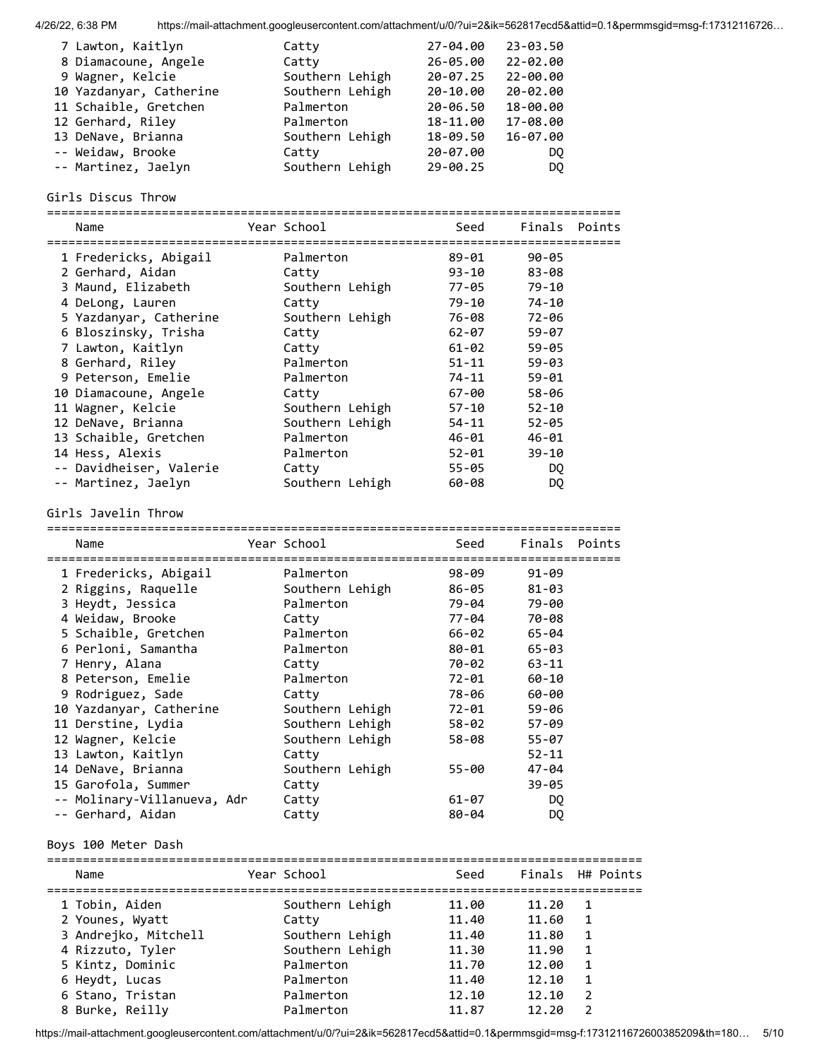| 7 Lawton, Kaitlyn       | Catty           | 27-04.00     | 23-03.50 |
|-------------------------|-----------------|--------------|----------|
| 8 Diamacoune, Angele    | Catty           | $26 - 05.00$ | 22-02.00 |
| 9 Wagner, Kelcie        | Southern Lehigh | $20 - 07.25$ | 22-00.00 |
| 10 Yazdanyar, Catherine | Southern Lehigh | $20 - 10.00$ | 20-02.00 |
| 11 Schaible, Gretchen   | Palmerton       | 20-06.50     | 18-00.00 |
| 12 Gerhard, Riley       | Palmerton       | 18-11.00     | 17-08.00 |
| 13 DeNave, Brianna      | Southern Lehigh | 18-09.50     | 16-07.00 |
| -- Weidaw, Brooke       | Catty           | 20-07.00     | DO.      |
| -- Martinez, Jaelyn     | Southern Lehigh | $29 - 00.25$ | DO.      |

### Girls Discus Throw

================================================================================

| Name                    | Year School     | Seed<br>============================= |           | Finals Points |
|-------------------------|-----------------|---------------------------------------|-----------|---------------|
| 1 Fredericks, Abigail   | Palmerton       | 89-01                                 | $90 - 05$ |               |
| 2 Gerhard, Aidan        | Catty           | $93 - 10$                             | $83 - 08$ |               |
| 3 Maund, Elizabeth      | Southern Lehigh | 77-05                                 | $79 - 10$ |               |
| 4 DeLong, Lauren        | Catty           | $79 - 10$                             | 74-10     |               |
| 5 Yazdanyar, Catherine  | Southern Lehigh | 76-08                                 | 72-06     |               |
| 6 Bloszinsky, Trisha    | Catty           | 62-07                                 | $59 - 07$ |               |
| 7 Lawton, Kaitlyn       | Catty           | 61-02                                 | $59 - 05$ |               |
| 8 Gerhard, Riley        | Palmerton       | $51 - 11$                             | $59 - 03$ |               |
| 9 Peterson, Emelie      | Palmerton       | 74-11                                 | $59 - 01$ |               |
| 10 Diamacoune, Angele   | Catty           | 67-00                                 | 58-06     |               |
| 11 Wagner, Kelcie       | Southern Lehigh | 57-10                                 | $52 - 10$ |               |
| 12 DeNave, Brianna      | Southern Lehigh | 54-11                                 | $52 - 05$ |               |
| 13 Schaible, Gretchen   | Palmerton       | 46-01                                 | $46 - 01$ |               |
| 14 Hess, Alexis         | Palmerton       | $52 - 01$                             | $39 - 10$ |               |
| -- Davidheiser, Valerie | Catty           | $55 - 05$                             | DQ        |               |
| -- Martinez, Jaelyn     | Southern Lehigh | 60-08                                 | DQ        |               |

### Girls Javelin Throw

| Name |                                                                                                                                                                                                                                                                                                                                                                |                             | Seed        | Finals Points |                                                                      |
|------|----------------------------------------------------------------------------------------------------------------------------------------------------------------------------------------------------------------------------------------------------------------------------------------------------------------------------------------------------------------|-----------------------------|-------------|---------------|----------------------------------------------------------------------|
|      |                                                                                                                                                                                                                                                                                                                                                                | Palmerton                   | $98 - 09$   | $91 - 09$     |                                                                      |
|      |                                                                                                                                                                                                                                                                                                                                                                | Southern Lehigh             |             | $81 - 03$     |                                                                      |
|      |                                                                                                                                                                                                                                                                                                                                                                | Palmerton                   |             | 79-00         |                                                                      |
|      |                                                                                                                                                                                                                                                                                                                                                                | Catty                       |             | 70-08         |                                                                      |
|      |                                                                                                                                                                                                                                                                                                                                                                | Palmerton                   |             | $65 - 04$     |                                                                      |
|      |                                                                                                                                                                                                                                                                                                                                                                | Palmerton                   |             | $65 - 03$     |                                                                      |
|      |                                                                                                                                                                                                                                                                                                                                                                | Catty                       |             | $63 - 11$     |                                                                      |
|      |                                                                                                                                                                                                                                                                                                                                                                | Palmerton                   | 72-01       | $60 - 10$     |                                                                      |
|      |                                                                                                                                                                                                                                                                                                                                                                | Catty                       | 78-06       | 60-00         |                                                                      |
|      |                                                                                                                                                                                                                                                                                                                                                                | Southern Lehigh             |             | 59-06         |                                                                      |
|      |                                                                                                                                                                                                                                                                                                                                                                | Southern Lehigh             |             | $57 - 09$     |                                                                      |
|      |                                                                                                                                                                                                                                                                                                                                                                | Southern Lehigh             | 58-08       | $55 - 07$     |                                                                      |
|      |                                                                                                                                                                                                                                                                                                                                                                | Catty                       |             | $52 - 11$     |                                                                      |
|      |                                                                                                                                                                                                                                                                                                                                                                | Southern Lehigh             | 55-00       | $47 - 04$     |                                                                      |
|      |                                                                                                                                                                                                                                                                                                                                                                | Catty                       |             | $39 - 05$     |                                                                      |
|      |                                                                                                                                                                                                                                                                                                                                                                | Catty                       | 61-07       | DQ.           |                                                                      |
|      |                                                                                                                                                                                                                                                                                                                                                                | Catty                       | $80 - 04$   | DQ            |                                                                      |
|      | 1 Fredericks, Abigail<br>2 Riggins, Raquelle<br>3 Heydt, Jessica<br>4 Weidaw, Brooke<br>5 Schaible, Gretchen<br>6 Perloni, Samantha<br>7 Henry, Alana<br>8 Peterson, Emelie<br>9 Rodriguez, Sade<br>10 Yazdanyar, Catherine<br>11 Derstine, Lydia<br>12 Wagner, Kelcie<br>13 Lawton, Kaitlyn<br>14 DeNave, Brianna<br>15 Garofola, Summer<br>-- Gerhard, Aidan | -- Molinary-Villanueva, Adr | Year School |               | 86-05<br>79-04<br>77-04<br>66-02<br>80-01<br>70-02<br>72-01<br>58-02 |

## Boys 100 Meter Dash

| Name                 | Year School     | Seed  |       | Finals H# Points |
|----------------------|-----------------|-------|-------|------------------|
| 1 Tobin, Aiden       | Southern Lehigh | 11.00 | 11.20 | $\mathbf{1}$     |
| 2 Younes, Wyatt      | Catty           | 11.40 | 11.60 | 1                |
| 3 Andrejko, Mitchell | Southern Lehigh | 11.40 | 11.80 | 1                |
| 4 Rizzuto, Tyler     | Southern Lehigh | 11.30 | 11.90 | 1                |
| 5 Kintz, Dominic     | Palmerton       | 11.70 | 12.00 | 1                |
| 6 Heydt, Lucas       | Palmerton       | 11.40 | 12.10 | 1                |
| 6 Stano, Tristan     | Palmerton       | 12.10 | 12.10 | 2                |
| 8 Burke, Reilly      | Palmerton       | 11.87 | 12.20 | $\mathcal{P}$    |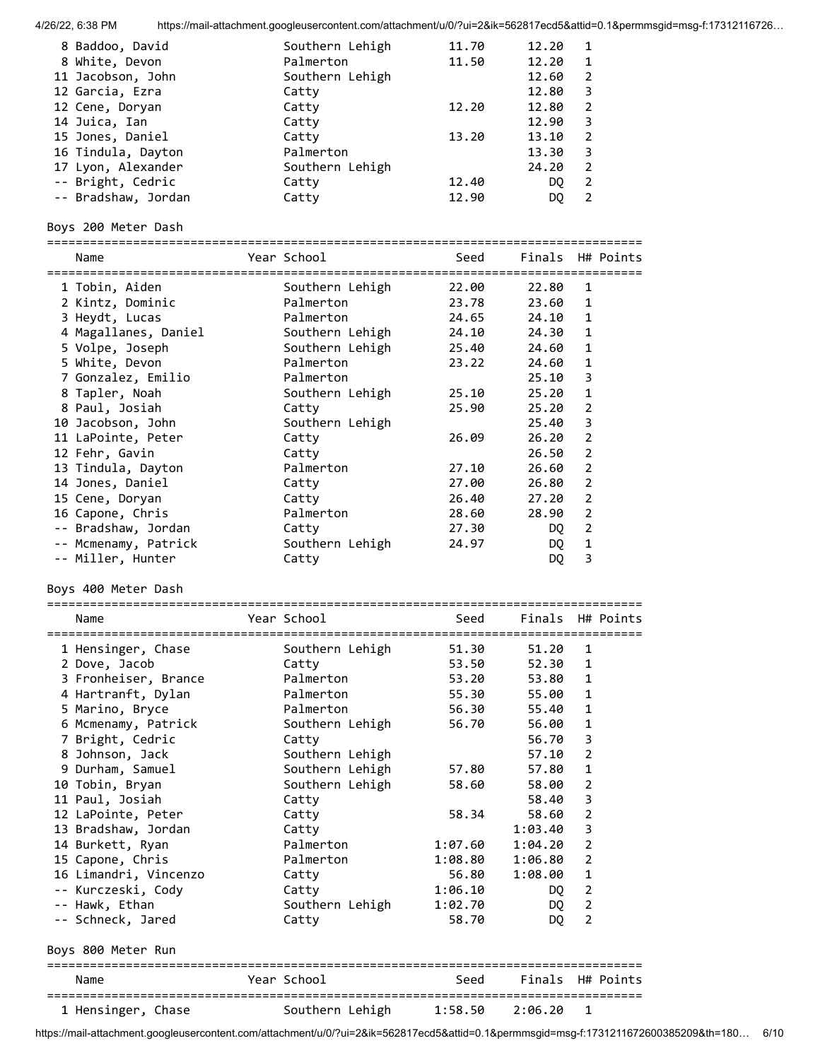|                                     | https://mail-attachment.googleusercontent.com/attachment/u/0/?ui=2&ik=562817ecd5&attid=0.1&permmsgid=msg-f:17312116726 |                  |                    |                     |                  |
|-------------------------------------|------------------------------------------------------------------------------------------------------------------------|------------------|--------------------|---------------------|------------------|
| 8 Baddoo, David                     | Southern Lehigh                                                                                                        | 11.70            | 12.20              | 1                   |                  |
| 8 White, Devon                      | Palmerton                                                                                                              | 11.50            | 12.20              | 1                   |                  |
| 11 Jacobson, John                   | Southern Lehigh                                                                                                        |                  | 12.60              | 2                   |                  |
| 12 Garcia, Ezra                     | Catty                                                                                                                  |                  | 12.80              | 3                   |                  |
| 12 Cene, Doryan                     | Catty                                                                                                                  | 12.20            | 12.80              | $\overline{2}$      |                  |
| 14 Juica, Ian                       | Catty                                                                                                                  |                  | 12.90              | $\overline{3}$      |                  |
| 15 Jones, Daniel                    | Catty                                                                                                                  | 13.20            | 13.10              | $\overline{2}$      |                  |
| 16 Tindula, Dayton                  | Palmerton                                                                                                              |                  | 13.30              | 3                   |                  |
| 17 Lyon, Alexander                  | Southern Lehigh                                                                                                        |                  | 24.20              | 2                   |                  |
| -- Bright, Cedric                   | Catty                                                                                                                  | 12.40            | DQ.                | $\overline{2}$      |                  |
| -- Bradshaw, Jordan                 | Catty                                                                                                                  | 12.90            | DQ                 | $\overline{2}$      |                  |
| Boys 200 Meter Dash                 |                                                                                                                        |                  |                    |                     |                  |
| Name                                | Year School                                                                                                            | Seed             | Finals H# Points   |                     |                  |
| 1 Tobin, Aiden                      | Southern Lehigh                                                                                                        | 22.00            | 22.80              | 1                   |                  |
| 2 Kintz, Dominic                    | Palmerton                                                                                                              | 23.78            | 23.60              | 1                   |                  |
| 3 Heydt, Lucas                      | Palmerton                                                                                                              | 24.65            | 24.10              | 1                   |                  |
| 4 Magallanes, Daniel                | Southern Lehigh                                                                                                        | 24.10            | 24.30              | $\mathbf{1}$        |                  |
| 5 Volpe, Joseph                     | Southern Lehigh                                                                                                        | 25.40            | 24.60              | $\mathbf{1}$        |                  |
| 5 White, Devon                      | Palmerton                                                                                                              | 23.22            | 24.60              | $\mathbf{1}$        |                  |
| 7 Gonzalez, Emilio                  | Palmerton                                                                                                              |                  | 25.10              | 3                   |                  |
| 8 Tapler, Noah                      | Southern Lehigh                                                                                                        | 25.10            | 25.20              | $\mathbf{1}$        |                  |
| 8 Paul, Josiah                      | Catty                                                                                                                  | 25.90            | 25.20              | $\overline{2}$      |                  |
| 10 Jacobson, John                   | Southern Lehigh                                                                                                        |                  | 25.40              | 3                   |                  |
| 11 LaPointe, Peter                  | Catty                                                                                                                  | 26.09            | 26.20              | $\overline{2}$      |                  |
| 12 Fehr, Gavin                      | Catty                                                                                                                  |                  | 26.50              | $\overline{2}$      |                  |
| 13 Tindula, Dayton                  | Palmerton                                                                                                              | 27.10            | 26.60              | $\overline{2}$      |                  |
| 14 Jones, Daniel                    | Catty                                                                                                                  | 27.00            | 26.80              | $\overline{2}$      |                  |
| 15 Cene, Doryan                     | Catty                                                                                                                  | 26.40            | 27.20              | $\overline{2}$      |                  |
| 16 Capone, Chris                    | Palmerton                                                                                                              | 28.60            | 28.90              | $\overline{2}$      |                  |
| -- Bradshaw, Jordan                 | Catty                                                                                                                  | 27.30            | DQ                 | $\overline{2}$      |                  |
| -- Mcmenamy, Patrick                | Southern Lehigh                                                                                                        | 24.97            | DQ                 | $\mathbf{1}$        |                  |
| -- Miller, Hunter                   | Catty                                                                                                                  |                  | DQ                 | 3                   |                  |
| Boys 400 Meter Dash                 |                                                                                                                        |                  |                    |                     |                  |
| Name                                | Year School                                                                                                            | Seed             |                    |                     | Finals H# Points |
|                                     |                                                                                                                        |                  |                    |                     |                  |
| 1 Hensinger, Chase                  | Southern Lehigh                                                                                                        | 51.30            | 51.20              | 1                   |                  |
| 2 Dove, Jacob                       | Catty                                                                                                                  | 53.50            | 52.30              | 1                   |                  |
| 3 Fronheiser, Brance                | Palmerton                                                                                                              | 53.20            | 53.80              | 1                   |                  |
| 4 Hartranft, Dylan                  | Palmerton                                                                                                              | 55.30            | 55.00              | 1                   |                  |
| 5 Marino, Bryce                     | Palmerton                                                                                                              | 56.30            | 55.40              | 1                   |                  |
| 6 Mcmenamy, Patrick                 | Southern Lehigh                                                                                                        | 56.70            | 56.00              | 1                   |                  |
| 7 Bright, Cedric                    | Catty                                                                                                                  |                  | 56.70              | 3                   |                  |
| 8 Johnson, Jack                     | Southern Lehigh                                                                                                        |                  | 57.10              | 2                   |                  |
| 9 Durham, Samuel                    | Southern Lehigh                                                                                                        | 57.80            | 57.80              | 1                   |                  |
| 10 Tobin, Bryan                     | Southern Lehigh                                                                                                        | 58.60            | 58.00              | 2                   |                  |
| 11 Paul, Josiah                     | Catty                                                                                                                  |                  | 58.40              | 3                   |                  |
| 12 LaPointe, Peter                  | Catty                                                                                                                  | 58.34            | 58.60              | 2                   |                  |
| 13 Bradshaw, Jordan                 | Catty                                                                                                                  |                  | 1:03.40            | 3                   |                  |
|                                     | Palmerton                                                                                                              | 1:07.60          | 1:04.20            | 2                   |                  |
| 14 Burkett, Ryan                    | Palmerton                                                                                                              |                  |                    | 2                   |                  |
| 15 Capone, Chris                    |                                                                                                                        | 1:08.80          | 1:06.80<br>1:08.00 | $\mathbf{1}$        |                  |
| 16 Limandri, Vincenzo               | Catty                                                                                                                  | 56.80            |                    |                     |                  |
| -- Kurczeski, Cody                  | Catty                                                                                                                  | 1:06.10          | DQ                 | 2<br>$\overline{2}$ |                  |
| -- Hawk, Ethan<br>-- Schneck, Jared | Southern Lehigh<br>Catty                                                                                               | 1:02.70<br>58.70 | DQ<br>DQ           | $\overline{2}$      |                  |
| Boys 800 Meter Run                  |                                                                                                                        |                  |                    |                     |                  |
| Name                                | Year School                                                                                                            | Seed             | Finals H# Points   |                     |                  |
| 1 Hensinger, Chase                  | Southern Lehigh                                                                                                        | 1:58.50          | 2:06.20            | 1                   |                  |

https://mail-attachment.googleusercontent.com/attachment/u/0/?ui=2&ik=562817ecd5&attid=0.1&permmsgid=msg-f:1731211672600385209&th=180… 6/10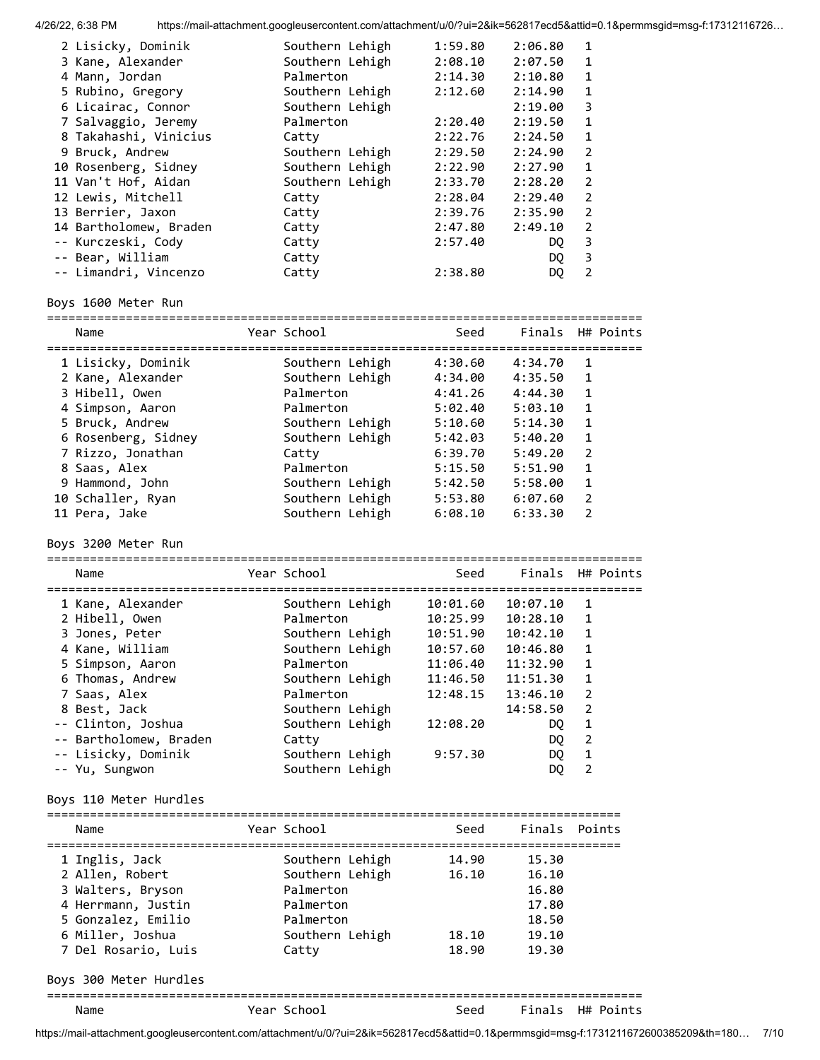| 2 Lisicky, Dominik     | Southern Lehigh | 1:59.80 | 2:06.80 | 1             |
|------------------------|-----------------|---------|---------|---------------|
| 3 Kane, Alexander      | Southern Lehigh | 2:08.10 | 2:07.50 | 1             |
| 4 Mann, Jordan         | Palmerton       | 2:14.30 | 2:10.80 | 1             |
| 5 Rubino, Gregory      | Southern Lehigh | 2:12.60 | 2:14.90 | 1             |
| 6 Licairac, Connor     | Southern Lehigh |         | 2:19.00 | 3             |
| 7 Salvaggio, Jeremy    | Palmerton       | 2:20.40 | 2:19.50 | 1             |
| 8 Takahashi, Vinicius  | Catty           | 2:22.76 | 2:24.50 | 1             |
| 9 Bruck, Andrew        | Southern Lehigh | 2:29.50 | 2:24.90 | $\mathcal{P}$ |
| 10 Rosenberg, Sidney   | Southern Lehigh | 2:22.90 | 2:27.90 | $\mathbf{1}$  |
| 11 Van't Hof, Aidan    | Southern Lehigh | 2:33.70 | 2:28.20 | $\mathcal{P}$ |
| 12 Lewis, Mitchell     | Catty           | 2:28.04 | 2:29.40 | $\mathcal{P}$ |
| 13 Berrier, Jaxon      | Catty           | 2:39.76 | 2:35.90 | $\mathcal{P}$ |
| 14 Bartholomew, Braden | Catty           | 2:47.80 | 2:49.10 | $\mathcal{P}$ |
| -- Kurczeski, Cody     | Catty           | 2:57.40 | DO.     | 3             |
| -- Bear, William       | Catty           |         | DO.     | 3             |
| -- Limandri, Vincenzo  | Catty           | 2:38.80 | DO.     | 2             |
|                        |                 |         |         |               |

# Boys 1600 Meter Run

| Name                | Year School     | Seed    |         | Finals H# Points |
|---------------------|-----------------|---------|---------|------------------|
| 1 Lisicky, Dominik  | Southern Lehigh | 4:30.60 | 4:34.70 | 1                |
| 2 Kane, Alexander   | Southern Lehigh | 4:34.00 | 4:35.50 | 1                |
| 3 Hibell, Owen      | Palmerton       | 4:41.26 | 4:44.30 | $\mathbf{1}$     |
| 4 Simpson, Aaron    | Palmerton       | 5:02.40 | 5:03.10 | 1                |
| 5 Bruck, Andrew     | Southern Lehigh | 5:10.60 | 5:14.30 | 1                |
| 6 Rosenberg, Sidney | Southern Lehigh | 5:42.03 | 5:40.20 | $\mathbf{1}$     |
| 7 Rizzo, Jonathan   | Catty           | 6:39.70 | 5:49.20 | $\overline{2}$   |
| 8 Saas, Alex        | Palmerton       | 5:15.50 | 5:51.90 | 1                |
| 9 Hammond, John     | Southern Lehigh | 5:42.50 | 5:58.00 | 1                |
| 10 Schaller, Ryan   | Southern Lehigh | 5:53.80 | 6:07.60 | $\mathcal{P}$    |
| 11 Pera, Jake       | Southern Lehigh | 6:08.10 | 6:33.30 | $\mathcal{P}$    |

Boys 3200 Meter Run

| Name                   | Year School     | Seed     |          | Finals H# Points |
|------------------------|-----------------|----------|----------|------------------|
| 1 Kane, Alexander      | Southern Lehigh | 10:01.60 | 10:07.10 | $\mathbf{1}$     |
| 2 Hibell, Owen         | Palmerton       | 10:25.99 | 10:28.10 | $\mathbf{1}$     |
| 3 Jones, Peter         | Southern Lehigh | 10:51.90 | 10:42.10 | $\mathbf{1}$     |
| 4 Kane, William        | Southern Lehigh | 10:57.60 | 10:46.80 | 1                |
| 5 Simpson, Aaron       | Palmerton       | 11:06.40 | 11:32.90 | $\mathbf{1}$     |
| 6 Thomas, Andrew       | Southern Lehigh | 11:46.50 | 11:51.30 | 1                |
| 7 Saas, Alex           | Palmerton       | 12:48.15 | 13:46.10 | 2                |
| 8 Best, Jack           | Southern Lehigh |          | 14:58.50 | 2                |
| -- Clinton, Joshua     | Southern Lehigh | 12:08.20 | DQ.      | $\mathbf{1}$     |
| -- Bartholomew, Braden | Catty           |          | DQ       | $\overline{2}$   |
| -- Lisicky, Dominik    | Southern Lehigh | 9:57.30  | DQ       | $\mathbf{1}$     |
| -- Yu, Sungwon         | Southern Lehigh |          | DQ       | $\overline{2}$   |
| Boys 110 Meter Hurdles |                 |          |          |                  |
| Name                   | Year School     | Seed     | Finals   | Points           |
| 1 Inglis, Jack         | Southern Lehigh | 14.90    | 15.30    |                  |
| 2 Allen, Robert        | Southern Lehigh | 16.10    | 16.10    |                  |

| 3 Walters, Bryson   | Palmerton       |       | 16.80 |  |
|---------------------|-----------------|-------|-------|--|
| 4 Herrmann, Justin  | Palmerton       |       | 17.80 |  |
| 5 Gonzalez, Emilio  | Palmerton       |       | 18.50 |  |
| 6 Miller, Joshua    | Southern Lehigh | 18.10 | 19.10 |  |
| 7 Del Rosario, Luis | Catty           | 18.90 | 19.30 |  |
|                     |                 |       |       |  |

Boys 300 Meter Hurdles

=================================================================================== Name The Year School Seed Finals H# Points

https://mail-attachment.googleusercontent.com/attachment/u/0/?ui=2&ik=562817ecd5&attid=0.1&permmsgid=msg-f:1731211672600385209&th=180… 7/10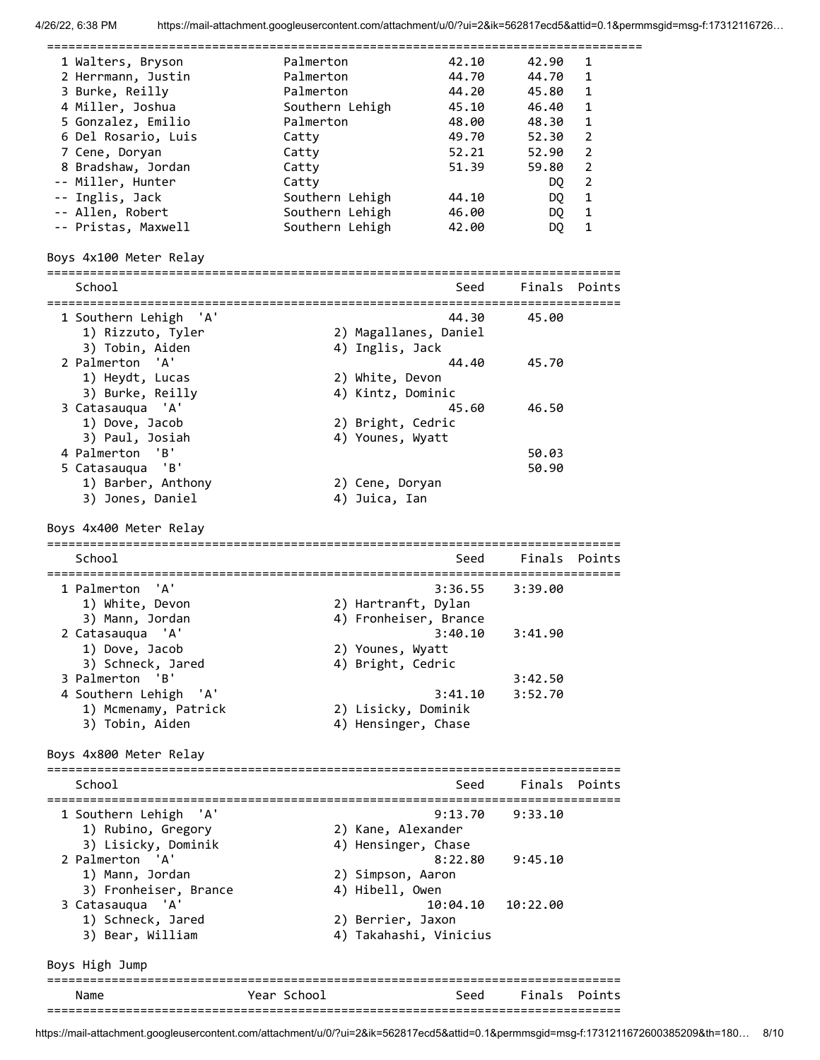| 1 Walters, Bryson                                         | Palmerton       |                        | 42.10    | 42.90    | 1              |
|-----------------------------------------------------------|-----------------|------------------------|----------|----------|----------------|
| 2 Herrmann, Justin                                        | Palmerton       |                        | 44.70    | 44.70    | 1              |
| 3 Burke, Reilly                                           | Palmerton       |                        | 44.20    | 45.80    | 1              |
| 4 Miller, Joshua                                          | Southern Lehigh |                        | 45.10    | 46.40    | 1              |
| 5 Gonzalez, Emilio                                        | Palmerton       |                        | 48.00    | 48.30    | 1              |
|                                                           |                 |                        |          |          |                |
| 6 Del Rosario, Luis                                       | Catty           |                        | 49.70    | 52.30    | $\overline{2}$ |
| 7 Cene, Doryan                                            | Catty           |                        | 52.21    | 52.90    | $\overline{2}$ |
| 8 Bradshaw, Jordan                                        | Catty           |                        | 51.39    | 59.80    | $\overline{2}$ |
| -- Miller, Hunter                                         | Catty           |                        |          | DQ       | $\overline{2}$ |
| -- Inglis, Jack                                           | Southern Lehigh |                        | 44.10    | DQ.      | 1              |
| -- Allen, Robert                                          | Southern Lehigh |                        | 46.00    | DQ.      | 1              |
| -- Pristas, Maxwell                                       | Southern Lehigh |                        | 42.00    | DQ.      | 1              |
|                                                           |                 |                        |          |          |                |
| Boys 4x100 Meter Relay<br>=============================== |                 |                        |          |          |                |
| School                                                    |                 |                        | Seed     |          | Finals Points  |
| 1 Southern Lehigh<br>``A`                                 |                 |                        | 44.30    | 45.00    |                |
| 1) Rizzuto, Tyler                                         |                 | 2) Magallanes, Daniel  |          |          |                |
| 3) Tobin, Aiden                                           |                 | 4) Inglis, Jack        |          |          |                |
| 'A'<br>2 Palmerton                                        |                 |                        | 44.40    | 45.70    |                |
|                                                           |                 |                        |          |          |                |
| 1) Heydt, Lucas                                           |                 | 2) White, Devon        |          |          |                |
| 3) Burke, Reilly                                          |                 | 4) Kintz, Dominic      |          |          |                |
| 3 Catasauqua 'A'                                          |                 |                        | 45.60    | 46.50    |                |
| 1) Dove, Jacob                                            |                 | 2) Bright, Cedric      |          |          |                |
| 3) Paul, Josiah                                           |                 | 4) Younes, Wyatt       |          |          |                |
| 4 Palmerton<br>'в'                                        |                 |                        |          | 50.03    |                |
| 'B'<br>5 Catasauqua                                       |                 |                        |          | 50.90    |                |
|                                                           |                 |                        |          |          |                |
| 1) Barber, Anthony                                        |                 | 2) Cene, Doryan        |          |          |                |
| 3) Jones, Daniel                                          |                 | 4) Juica, Ian          |          |          |                |
| Boys 4x400 Meter Relay                                    |                 |                        |          |          |                |
|                                                           |                 |                        |          |          |                |
| School                                                    |                 |                        | Seed     | Finals   | Points         |
|                                                           |                 |                        |          |          |                |
| 'A'<br>1 Palmerton                                        |                 |                        | 3:36.55  | 3:39.00  |                |
| 1) White, Devon                                           |                 | 2) Hartranft, Dylan    |          |          |                |
| 3) Mann, Jordan                                           |                 | 4) Fronheiser, Brance  |          |          |                |
| 'A'<br>2 Catasauqua                                       |                 |                        | 3:40.10  | 3:41.90  |                |
| 1) Dove, Jacob                                            |                 | 2) Younes, Wyatt       |          |          |                |
|                                                           |                 |                        |          |          |                |
| 3) Schneck, Jared                                         |                 | 4) Bright, Cedric      |          |          |                |
| 'B'<br>3 Palmerton                                        |                 |                        |          | 3:42.50  |                |
| 4 Southern Lehigh 'A'                                     |                 |                        | 3:41.10  | 3:52.70  |                |
| 1) Mcmenamy, Patrick                                      |                 | 2) Lisicky, Dominik    |          |          |                |
| 3) Tobin, Aiden                                           |                 | 4) Hensinger, Chase    |          |          |                |
|                                                           |                 |                        |          |          |                |
| Boys 4x800 Meter Relay                                    |                 |                        |          |          |                |
| School                                                    |                 |                        | Seed     | Finals   | Points         |
| 1 Southern Lehigh<br>'A'                                  |                 |                        | 9:13.70  | 9:33.10  |                |
| 1) Rubino, Gregory                                        |                 | 2) Kane, Alexander     |          |          |                |
| 3) Lisicky, Dominik                                       |                 | 4) Hensinger, Chase    |          |          |                |
| 2 Palmerton 'A'                                           |                 |                        |          |          |                |
|                                                           |                 |                        | 8:22.80  | 9:45.10  |                |
| 1) Mann, Jordan                                           |                 | 2) Simpson, Aaron      |          |          |                |
| 3) Fronheiser, Brance                                     |                 | 4) Hibell, Owen        |          |          |                |
| 3 Catasauqua 'A'                                          |                 |                        | 10:04.10 | 10:22.00 |                |
| 1) Schneck, Jared                                         |                 | 2) Berrier, Jaxon      |          |          |                |
| 3) Bear, William                                          |                 | 4) Takahashi, Vinicius |          |          |                |
| Boys High Jump                                            |                 |                        |          |          |                |
|                                                           |                 |                        |          |          |                |
| Name                                                      | Year School     |                        | Seed     |          | Finals Points  |
|                                                           |                 |                        |          |          |                |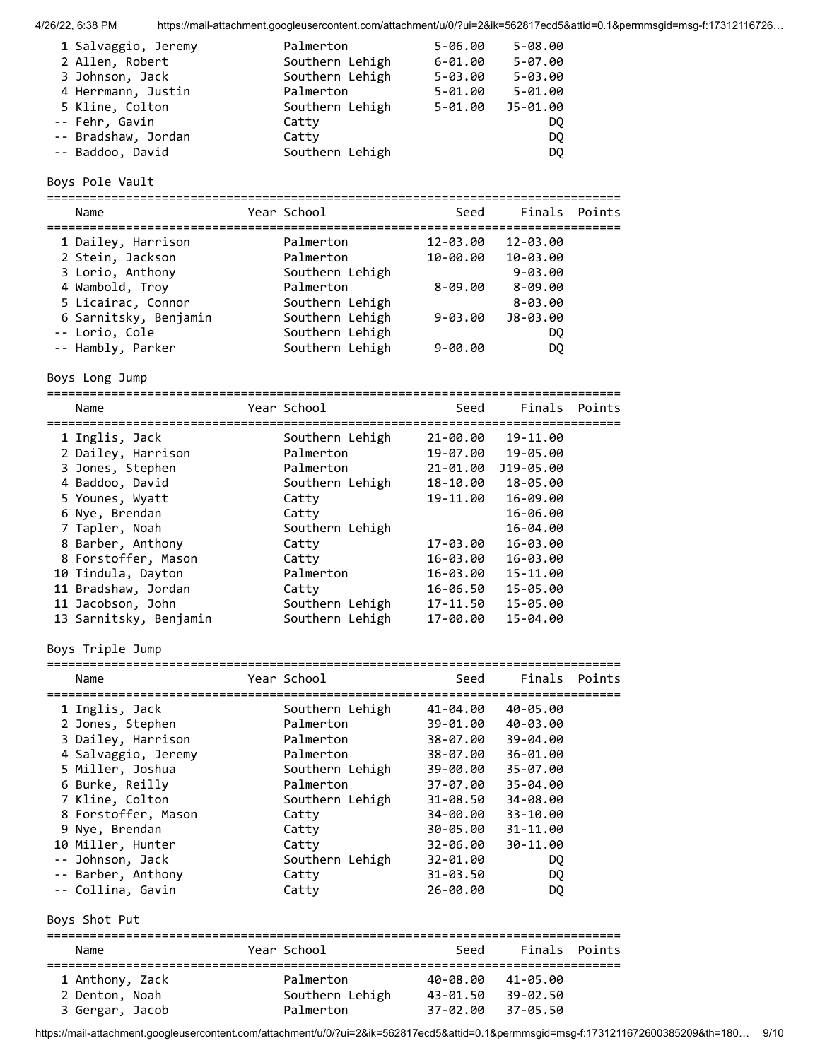| 1 Salvaggio, Jeremy | Palmerton       | $5 - 06.00$ | $5 - 08.00$ |
|---------------------|-----------------|-------------|-------------|
| 2 Allen, Robert     | Southern Lehigh | $6 - 01.00$ | $5 - 07.00$ |
| 3 Johnson, Jack     | Southern Lehigh | $5 - 03.00$ | $5 - 03.00$ |
| 4 Herrmann, Justin  | Palmerton       | $5 - 01.00$ | $5 - 01.00$ |
| 5 Kline, Colton     | Southern Lehigh | $5 - 01.00$ | J5-01.00    |
| -- Fehr, Gavin      | Catty           |             | DO.         |
| -- Bradshaw, Jordan | Catty           |             | DO.         |
| -- Baddoo, David    | Southern Lehigh |             | DQ.         |

# Boys Pole Vault

| Name                  | Year School     | Seed        | Finals Points |  |
|-----------------------|-----------------|-------------|---------------|--|
| 1 Dailey, Harrison    | Palmerton       | 12-03.00    | 12-03.00      |  |
| 2 Stein, Jackson      | Palmerton       | 10-00.00    | 10-03.00      |  |
| 3 Lorio, Anthony      | Southern Lehigh |             | $9 - 03.00$   |  |
| 4 Wambold, Troy       | Palmerton       | $8 - 09.00$ | $8 - 09.00$   |  |
| 5 Licairac, Connor    | Southern Lehigh |             | $8 - 03.00$   |  |
| 6 Sarnitsky, Benjamin | Southern Lehigh | $9 - 03.00$ | J8-03.00      |  |
| -- Lorio, Cole        | Southern Lehigh |             | DQ            |  |
| -- Hambly, Parker     | Southern Lehigh | $9 - 00.00$ | DQ            |  |

Boys Long Jump

================================================================================

| Name                   | Year School     | Seed     |           | Finals Points |
|------------------------|-----------------|----------|-----------|---------------|
| 1 Inglis, Jack         | Southern Lehigh | 21-00.00 | 19-11.00  |               |
| 2 Dailey, Harrison     | Palmerton       | 19-07.00 | 19-05.00  |               |
| 3 Jones, Stephen       | Palmerton       | 21-01.00 | J19-05.00 |               |
| 4 Baddoo, David        | Southern Lehigh | 18-10.00 | 18-05.00  |               |
| 5 Younes, Wyatt        | Catty           | 19-11.00 | 16-09.00  |               |
| 6 Nye, Brendan         | Catty           |          | 16-06.00  |               |
| 7 Tapler, Noah         | Southern Lehigh |          | 16-04.00  |               |
| 8 Barber, Anthony      | Catty           | 17-03.00 | 16-03.00  |               |
| 8 Forstoffer, Mason    | Catty           | 16-03.00 | 16-03.00  |               |
| 10 Tindula, Dayton     | Palmerton       | 16-03.00 | 15-11.00  |               |
| 11 Bradshaw, Jordan    | Catty           | 16-06.50 | 15-05.00  |               |
| 11 Jacobson, John      | Southern Lehigh | 17-11.50 | 15-05.00  |               |
| 13 Sarnitsky, Benjamin | Southern Lehigh | 17-00.00 | 15-04.00  |               |

Boys Triple Jump

| Name                |  | Year School     | Seed     | Finals Points |        |  |  |
|---------------------|--|-----------------|----------|---------------|--------|--|--|
| 1 Inglis, Jack      |  | Southern Lehigh | 41-04.00 | 40-05.00      |        |  |  |
| 2 Jones, Stephen    |  | Palmerton       | 39-01.00 | 40-03.00      |        |  |  |
| 3 Dailey, Harrison  |  | Palmerton       | 38-07.00 | 39-04.00      |        |  |  |
| 4 Salvaggio, Jeremy |  | Palmerton       | 38-07.00 | 36-01.00      |        |  |  |
| 5 Miller, Joshua    |  | Southern Lehigh | 39-00.00 | 35-07.00      |        |  |  |
| 6 Burke, Reilly     |  | Palmerton       | 37-07.00 | 35-04.00      |        |  |  |
| 7 Kline, Colton     |  | Southern Lehigh | 31-08.50 | 34-08.00      |        |  |  |
| 8 Forstoffer, Mason |  | Catty           | 34-00.00 | 33-10.00      |        |  |  |
| 9 Nye, Brendan      |  | Catty           | 30-05.00 | 31-11.00      |        |  |  |
| 10 Miller, Hunter   |  | Catty           | 32-06.00 | 30-11.00      |        |  |  |
| -- Johnson, Jack    |  | Southern Lehigh | 32-01.00 | DQ.           |        |  |  |
| -- Barber, Anthony  |  | Catty           | 31-03.50 | DQ.           |        |  |  |
| -- Collina, Gavin   |  | Catty           | 26-00.00 | DQ            |        |  |  |
| Boys Shot Put       |  |                 |          |               |        |  |  |
| Name                |  | Year School     | Seed     | Finals        | Points |  |  |

| 1 Anthony, Zack | Palmerton       | 40-08.00          | 41-05.00 |  |
|-----------------|-----------------|-------------------|----------|--|
| 2 Denton, Noah  | Southern Lehigh | 43-01.50          | 39-02.50 |  |
| 3 Gergar, Jacob | Palmerton       | 37-02.00 37-05.50 |          |  |

https://mail-attachment.googleusercontent.com/attachment/u/0/?ui=2&ik=562817ecd5&attid=0.1&permmsgid=msg-f:1731211672600385209&th=180… 9/10